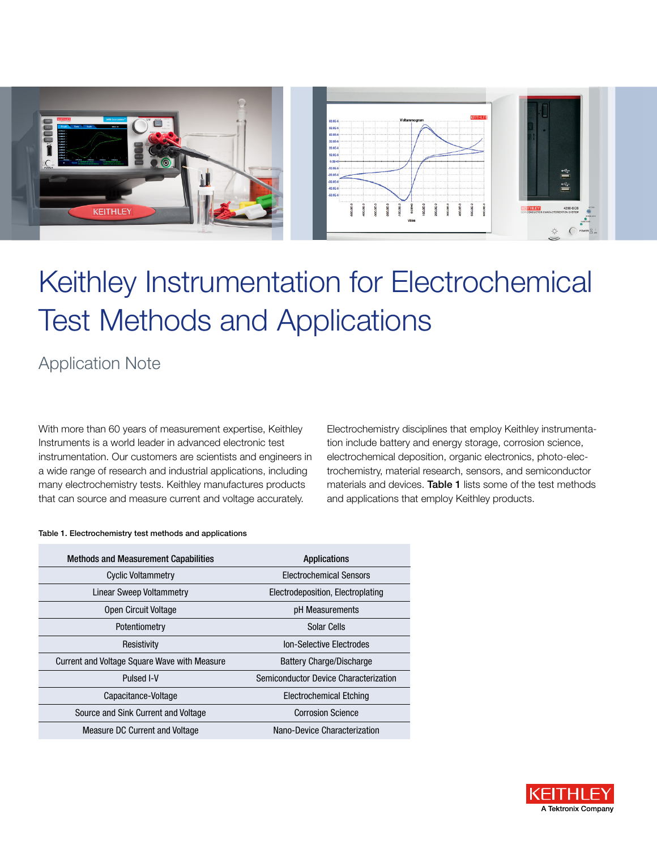

# Keithley Instrumentation for Electrochemical Test Methods and Applications

### Application Note

With more than 60 years of measurement expertise, Keithley Instruments is a world leader in advanced electronic test instrumentation. Our customers are scientists and engineers in a wide range of research and industrial applications, including many electrochemistry tests. Keithley manufactures products that can source and measure current and voltage accurately.

Electrochemistry disciplines that employ Keithley instrumentation include battery and energy storage, corrosion science, electrochemical deposition, organic electronics, photo-electrochemistry, material research, sensors, and semiconductor materials and devices. Table 1 lists some of the test methods and applications that employ Keithley products.

#### Table 1. Electrochemistry test methods and applications

| <b>Methods and Measurement Capabilities</b>  | <b>Applications</b>                   |  |
|----------------------------------------------|---------------------------------------|--|
| <b>Cyclic Voltammetry</b>                    | <b>Electrochemical Sensors</b>        |  |
| Linear Sweep Voltammetry                     | Electrodeposition, Electroplating     |  |
| Open Circuit Voltage                         | pH Measurements                       |  |
| Potentiometry                                | Solar Cells                           |  |
| Resistivity                                  | <b>Ion-Selective Electrodes</b>       |  |
| Current and Voltage Square Wave with Measure | <b>Battery Charge/Discharge</b>       |  |
| Pulsed I-V                                   | Semiconductor Device Characterization |  |
| Capacitance-Voltage                          | Electrochemical Etching               |  |
| Source and Sink Current and Voltage          | <b>Corrosion Science</b>              |  |
| Measure DC Current and Voltage               | Nano-Device Characterization          |  |

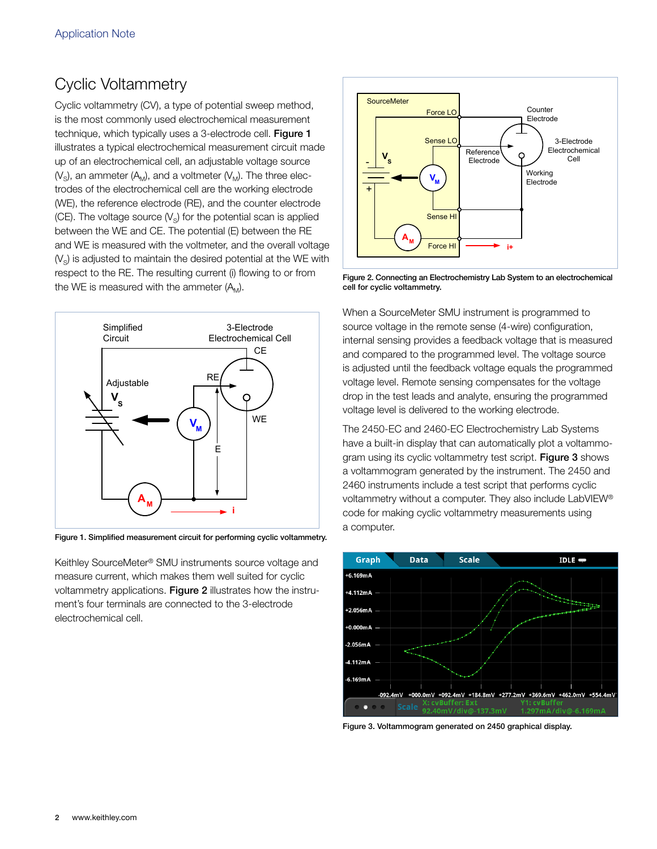#### Cyclic Voltammetry

Cyclic voltammetry (CV), a type of potential sweep method, is the most commonly used electrochemical measurement technique, which typically uses a 3-electrode cell. Figure 1 illustrates a typical electrochemical measurement circuit made up of an electrochemical cell, an adjustable voltage source  $(V<sub>S</sub>)$ , an ammeter  $(A<sub>M</sub>)$ , and a voltmeter  $(V<sub>M</sub>)$ . The three electrodes of the electrochemical cell are the working electrode (WE), the reference electrode (RE), and the counter electrode (CE). The voltage source  $(V_{\rm s})$  for the potential scan is applied between the WE and CE. The potential (E) between the RE and WE is measured with the voltmeter, and the overall voltage  $(V<sub>s</sub>)$  is adjusted to maintain the desired potential at the WE with respect to the RE. The resulting current (i) flowing to or from the WE is measured with the ammeter  $(A_{M})$ .



Figure 1. Simplified measurement circuit for performing cyclic voltammetry.

Keithley SourceMeter® SMU instruments source voltage and measure current, which makes them well suited for cyclic voltammetry applications. Figure 2 illustrates how the instrument's four terminals are connected to the 3-electrode electrochemical cell.



Figure 2. Connecting an Electrochemistry Lab System to an electrochemical cell for cyclic voltammetry.

When a SourceMeter SMU instrument is programmed to source voltage in the remote sense (4-wire) configuration, internal sensing provides a feedback voltage that is measured and compared to the programmed level. The voltage source is adjusted until the feedback voltage equals the programmed voltage level. Remote sensing compensates for the voltage drop in the test leads and analyte, ensuring the programmed voltage level is delivered to the working electrode.

The 2450-EC and 2460-EC Electrochemistry Lab Systems have a built-in display that can automatically plot a voltammogram using its cyclic voltammetry test script. Figure 3 shows a voltammogram generated by the instrument. The 2450 and 2460 instruments include a test script that performs cyclic voltammetry without a computer. They also include LabVIEW® code for making cyclic voltammetry measurements using a computer.



Figure 3. Voltammogram generated on 2450 graphical display.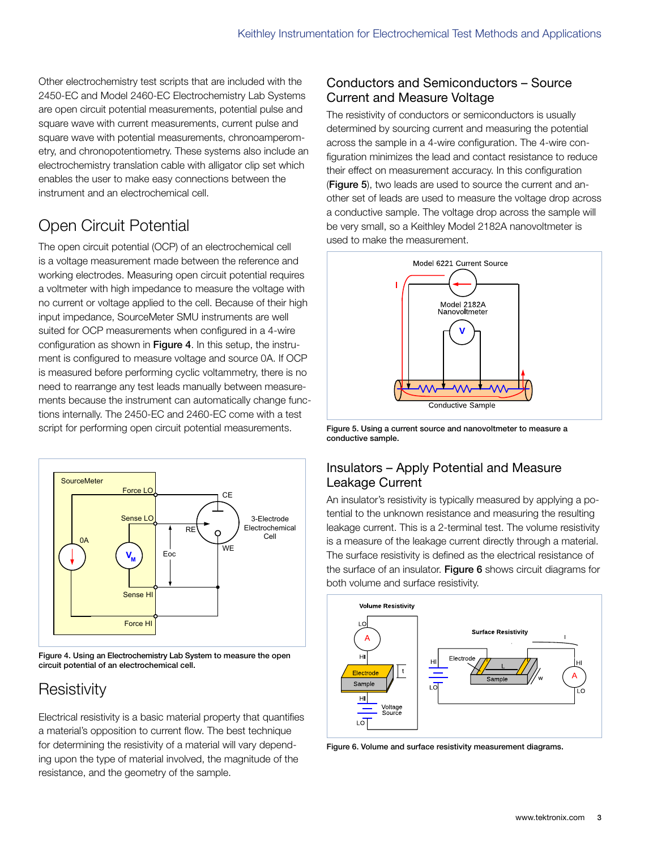Other electrochemistry test scripts that are included with the 2450-EC and Model 2460-EC Electrochemistry Lab Systems are open circuit potential measurements, potential pulse and square wave with current measurements, current pulse and square wave with potential measurements, chronoamperometry, and chronopotentiometry. These systems also include an electrochemistry translation cable with alligator clip set which enables the user to make easy connections between the instrument and an electrochemical cell.

# Open Circuit Potential

The open circuit potential (OCP) of an electrochemical cell is a voltage measurement made between the reference and working electrodes. Measuring open circuit potential requires a voltmeter with high impedance to measure the voltage with no current or voltage applied to the cell. Because of their high input impedance, SourceMeter SMU instruments are well suited for OCP measurements when configured in a 4-wire configuration as shown in Figure 4. In this setup, the instrument is configured to measure voltage and source 0A. If OCP is measured before performing cyclic voltammetry, there is no need to rearrange any test leads manually between measurements because the instrument can automatically change functions internally. The 2450-EC and 2460-EC come with a test script for performing open circuit potential measurements.



Figure 4. Using an Electrochemistry Lab System to measure the open circuit potential of an electrochemical cell.

#### **Resistivity**

Electrical resistivity is a basic material property that quantifies a material's opposition to current flow. The best technique for determining the resistivity of a material will vary depending upon the type of material involved, the magnitude of the resistance, and the geometry of the sample.

#### Conductors and Semiconductors – Source Current and Measure Voltage

The resistivity of conductors or semiconductors is usually determined by sourcing current and measuring the potential across the sample in a 4-wire configuration. The 4-wire configuration minimizes the lead and contact resistance to reduce their effect on measurement accuracy. In this configuration (Figure 5), two leads are used to source the current and another set of leads are used to measure the voltage drop across a conductive sample. The voltage drop across the sample will be very small, so a Keithley Model 2182A nanovoltmeter is used to make the measurement.



Figure 5. Using a current source and nanovoltmeter to measure a conductive sample.

#### Insulators – Apply Potential and Measure Leakage Current

An insulator's resistivity is typically measured by applying a potential to the unknown resistance and measuring the resulting leakage current. This is a 2-terminal test. The volume resistivity is a measure of the leakage current directly through a material. The surface resistivity is defined as the electrical resistance of the surface of an insulator. Figure 6 shows circuit diagrams for both volume and surface resistivity.



Figure 6. Volume and surface resistivity measurement diagrams.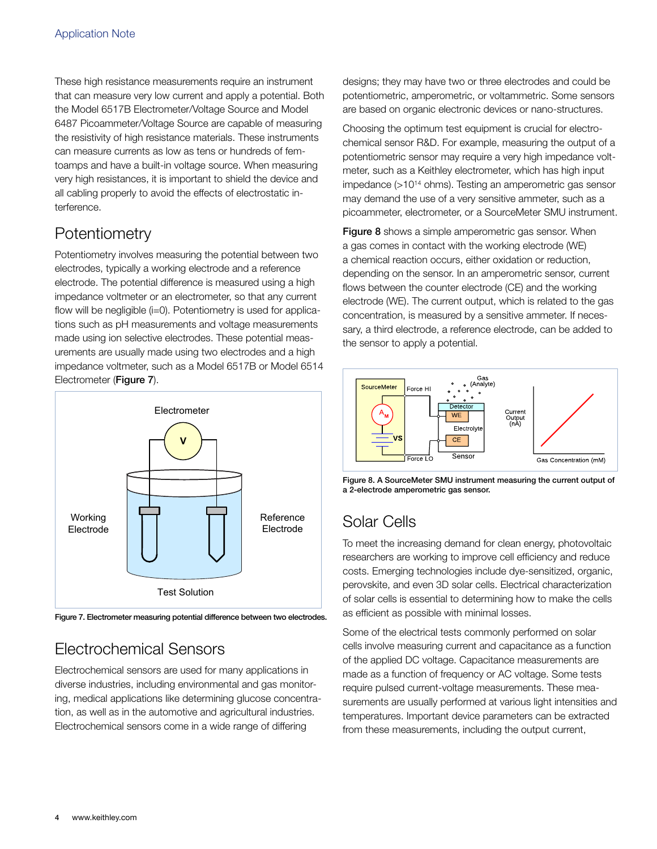These high resistance measurements require an instrument that can measure very low current and apply a potential. Both the Model 6517B Electrometer/Voltage Source and Model 6487 Picoammeter/Voltage Source are capable of measuring the resistivity of high resistance materials. These instruments can measure currents as low as tens or hundreds of femtoamps and have a built-in voltage source. When measuring very high resistances, it is important to shield the device and all cabling properly to avoid the effects of electrostatic interference.

#### **Potentiometry**

Potentiometry involves measuring the potential between two electrodes, typically a working electrode and a reference electrode. The potential difference is measured using a high impedance voltmeter or an electrometer, so that any current flow will be negligible (i=0). Potentiometry is used for applications such as pH measurements and voltage measurements made using ion selective electrodes. These potential measurements are usually made using two electrodes and a high impedance voltmeter, such as a Model 6517B or Model 6514 Electrometer (Figure 7).



Figure 7. Electrometer measuring potential difference between two electrodes.

### Electrochemical Sensors

Electrochemical sensors are used for many applications in diverse industries, including environmental and gas monitoring, medical applications like determining glucose concentration, as well as in the automotive and agricultural industries. Electrochemical sensors come in a wide range of differing

designs; they may have two or three electrodes and could be potentiometric, amperometric, or voltammetric. Some sensors are based on organic electronic devices or nano-structures.

Choosing the optimum test equipment is crucial for electrochemical sensor R&D. For example, measuring the output of a potentiometric sensor may require a very high impedance voltmeter, such as a Keithley electrometer, which has high input impedance (>1014 ohms). Testing an amperometric gas sensor may demand the use of a very sensitive ammeter, such as a picoammeter, electrometer, or a SourceMeter SMU instrument.

Figure 8 shows a simple amperometric gas sensor. When a gas comes in contact with the working electrode (WE) a chemical reaction occurs, either oxidation or reduction, depending on the sensor. In an amperometric sensor, current flows between the counter electrode (CE) and the working electrode (WE). The current output, which is related to the gas concentration, is measured by a sensitive ammeter. If necessary, a third electrode, a reference electrode, can be added to the sensor to apply a potential.



Figure 8. A SourceMeter SMU instrument measuring the current output of a 2-electrode amperometric gas sensor.

### Solar Cells

To meet the increasing demand for clean energy, photovoltaic researchers are working to improve cell efficiency and reduce costs. Emerging technologies include dye-sensitized, organic, perovskite, and even 3D solar cells. Electrical characterization of solar cells is essential to determining how to make the cells as efficient as possible with minimal losses.

Some of the electrical tests commonly performed on solar cells involve measuring current and capacitance as a function of the applied DC voltage. Capacitance measurements are made as a function of frequency or AC voltage. Some tests require pulsed current-voltage measurements. These measurements are usually performed at various light intensities and temperatures. Important device parameters can be extracted from these measurements, including the output current,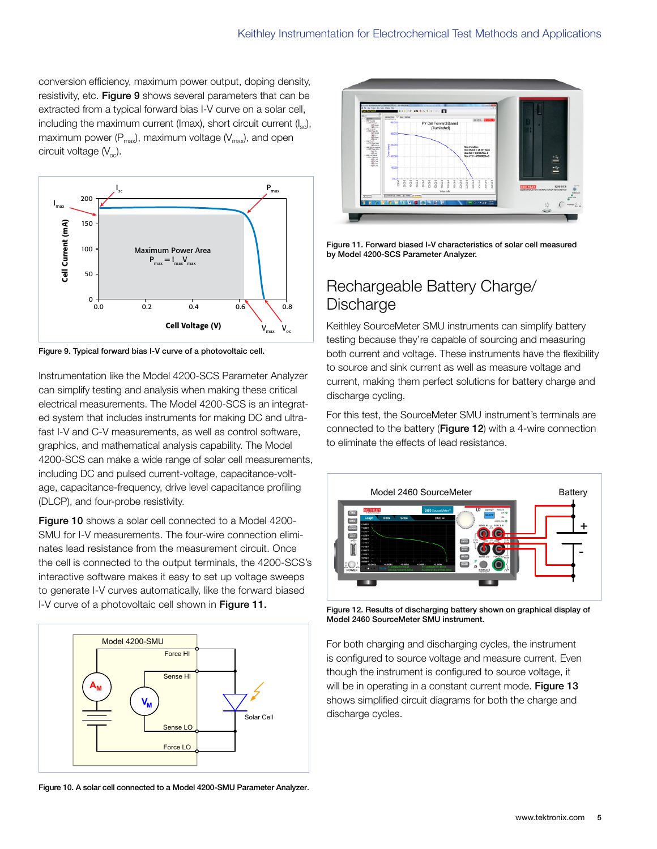conversion efficiency, maximum power output, doping density, resistivity, etc. Figure 9 shows several parameters that can be extracted from a typical forward bias I-V curve on a solar cell, including the maximum current (Imax), short circuit current  $(I_{sc})$ , maximum power  $(P_{\text{max}})$ , maximum voltage  $(V_{\text{max}})$ , and open circuit voltage  $(V_{\infty})$ .



Figure 9. Typical forward bias I-V curve of a photovoltaic cell.

Instrumentation like the Model 4200-SCS Parameter Analyzer can simplify testing and analysis when making these critical electrical measurements. The Model 4200-SCS is an integrated system that includes instruments for making DC and ultrafast I-V and C-V measurements, as well as control software, graphics, and mathematical analysis capability. The Model 4200-SCS can make a wide range of solar cell measurements, including DC and pulsed current-voltage, capacitance-voltage, capacitance-frequency, drive level capacitance profiling (DLCP), and four-probe resistivity.

Figure 10 shows a solar cell connected to a Model 4200-SMU for I-V measurements. The four-wire connection eliminates lead resistance from the measurement circuit. Once the cell is connected to the output terminals, the 4200-SCS's interactive software makes it easy to set up voltage sweeps to generate I-V curves automatically, like the forward biased I-V curve of a photovoltaic cell shown in Figure 11.



Figure 10. A solar cell connected to a Model 4200-SMU Parameter Analyzer.



Figure 11. Forward biased I-V characteristics of solar cell measured by Model 4200-SCS Parameter Analyzer.

#### Rechargeable Battery Charge/ **Discharge**

Keithley SourceMeter SMU instruments can simplify battery testing because they're capable of sourcing and measuring both current and voltage. These instruments have the flexibility to source and sink current as well as measure voltage and current, making them perfect solutions for battery charge and discharge cycling.

For this test, the SourceMeter SMU instrument's terminals are connected to the battery (Figure 12) with a 4-wire connection to eliminate the effects of lead resistance.



Figure 12. Results of discharging battery shown on graphical display of Model 2460 SourceMeter SMU instrument.

For both charging and discharging cycles, the instrument is configured to source voltage and measure current. Even though the instrument is configured to source voltage, it will be in operating in a constant current mode. Figure 13 shows simplified circuit diagrams for both the charge and discharge cycles.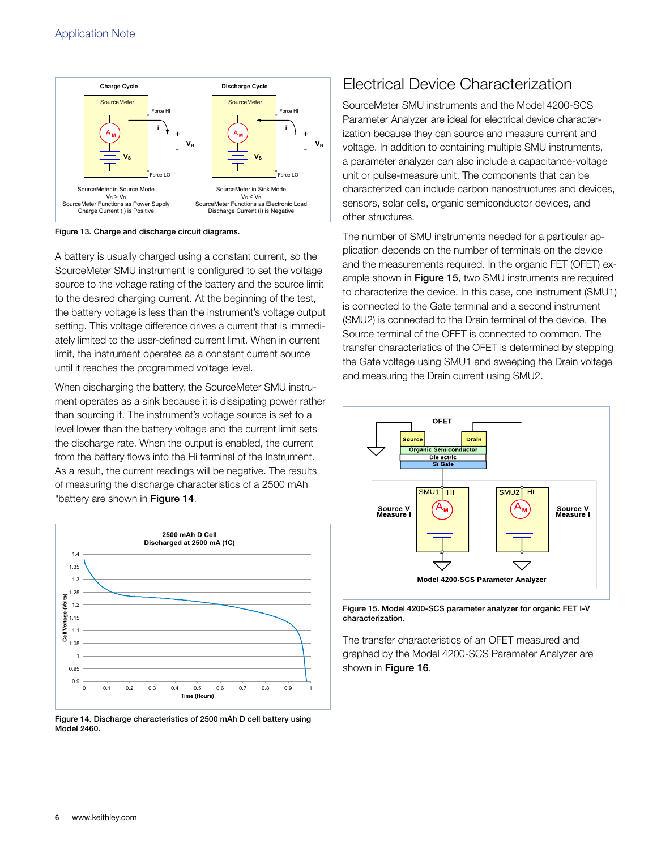

Figure 13. Charge and discharge circuit diagrams.

A battery is usually charged using a constant current, so the SourceMeter SMU instrument is configured to set the voltage source to the voltage rating of the battery and the source limit to the desired charging current. At the beginning of the test, the battery voltage is less than the instrument's voltage output setting. This voltage difference drives a current that is immediately limited to the user-defined current limit. When in current limit, the instrument operates as a constant current source until it reaches the programmed voltage level.

When discharging the battery, the SourceMeter SMU instrument operates as a sink because it is dissipating power rather than sourcing it. The instrument's voltage source is set to a level lower than the battery voltage and the current limit sets the discharge rate. When the output is enabled, the current from the battery flows into the Hi terminal of the Instrument. As a result, the current readings will be negative. The results of measuring the discharge characteristics of a 2500 mAh "battery are shown in Figure 14.



Figure 14. Discharge characteristics of 2500 mAh D cell battery using Model 2460.

#### Electrical Device Characterization

SourceMeter SMU instruments and the Model 4200-SCS Parameter Analyzer are ideal for electrical device characterization because they can source and measure current and voltage. In addition to containing multiple SMU instruments, a parameter analyzer can also include a capacitance-voltage unit or pulse-measure unit. The components that can be characterized can include carbon nanostructures and devices, sensors, solar cells, organic semiconductor devices, and other structures.

The number of SMU instruments needed for a particular application depends on the number of terminals on the device and the measurements required. In the organic FET (OFET) example shown in Figure 15, two SMU instruments are required to characterize the device. In this case, one instrument (SMU1) is connected to the Gate terminal and a second instrument (SMU2) is connected to the Drain terminal of the device. The Source terminal of the OFET is connected to common. The transfer characteristics of the OFET is determined by stepping the Gate voltage using SMU1 and sweeping the Drain voltage and measuring the Drain current using SMU2.



Figure 15. Model 4200-SCS parameter analyzer for organic FET I-V characterization.

The transfer characteristics of an OFET measured and graphed by the Model 4200-SCS Parameter Analyzer are shown in Figure 16.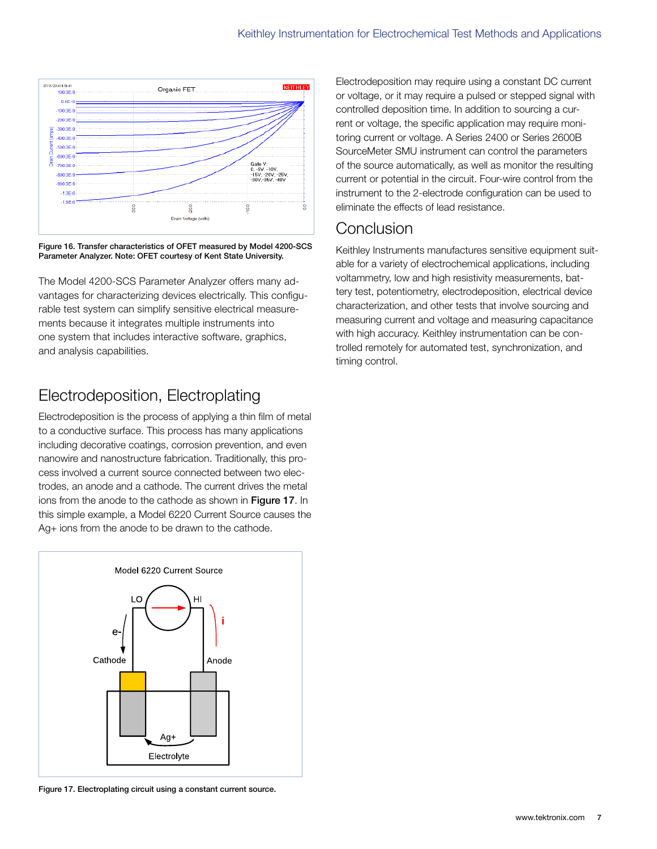

Figure 16. Transfer characteristics of OFET measured by Model 4200-SCS Parameter Analyzer. Note: OFET courtesy of Kent State University.

The Model 4200-SCS Parameter Analyzer offers many advantages for characterizing devices electrically. This configurable test system can simplify sensitive electrical measurements because it integrates multiple instruments into one system that includes interactive software, graphics, and analysis capabilities.

## Electrodeposition, Electroplating

Electrodeposition is the process of applying a thin film of metal to a conductive surface. This process has many applications including decorative coatings, corrosion prevention, and even nanowire and nanostructure fabrication. Traditionally, this process involved a current source connected between two electrodes, an anode and a cathode. The current drives the metal ions from the anode to the cathode as shown in Figure 17. In this simple example, a Model 6220 Current Source causes the Ag+ ions from the anode to be drawn to the cathode.



Figure 17. Electroplating circuit using a constant current source.

Electrodeposition may require using a constant DC current or voltage, or it may require a pulsed or stepped signal with controlled deposition time. In addition to sourcing a current or voltage, the specific application may require monitoring current or voltage. A Series 2400 or Series 2600B SourceMeter SMU instrument can control the parameters of the source automatically, as well as monitor the resulting current or potential in the circuit. Four-wire control from the instrument to the 2-electrode configuration can be used to eliminate the effects of lead resistance.

### Conclusion

Keithley Instruments manufactures sensitive equipment suitable for a variety of electrochemical applications, including voltammetry, low and high resistivity measurements, battery test, potentiometry, electrodeposition, electrical device characterization, and other tests that involve sourcing and measuring current and voltage and measuring capacitance with high accuracy. Keithley instrumentation can be controlled remotely for automated test, synchronization, and timing control.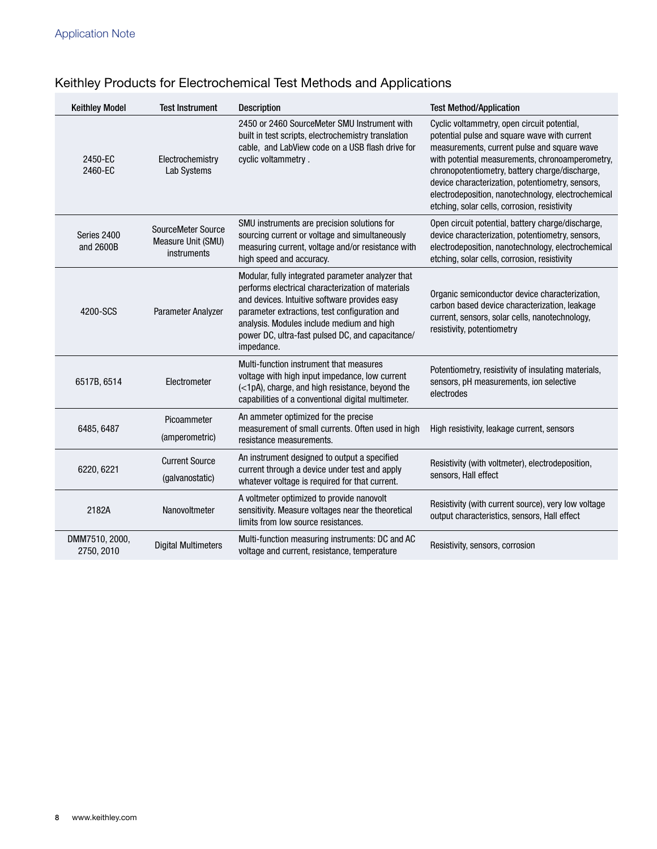| <b>Keithley Model</b>        | <b>Test Instrument</b>                                  | <b>Description</b>                                                                                                                                                                                                                                                                                                      | <b>Test Method/Application</b>                                                                                                                                                                                                                                                                                                                                                                            |
|------------------------------|---------------------------------------------------------|-------------------------------------------------------------------------------------------------------------------------------------------------------------------------------------------------------------------------------------------------------------------------------------------------------------------------|-----------------------------------------------------------------------------------------------------------------------------------------------------------------------------------------------------------------------------------------------------------------------------------------------------------------------------------------------------------------------------------------------------------|
| 2450-EC<br>2460-EC           | Electrochemistry<br>Lab Systems                         | 2450 or 2460 SourceMeter SMU Instrument with<br>built in test scripts, electrochemistry translation<br>cable, and LabView code on a USB flash drive for<br>cyclic voltammetry.                                                                                                                                          | Cyclic voltammetry, open circuit potential,<br>potential pulse and square wave with current<br>measurements, current pulse and square wave<br>with potential measurements, chronoamperometry,<br>chronopotentiometry, battery charge/discharge,<br>device characterization, potentiometry, sensors,<br>electrodeposition, nanotechnology, electrochemical<br>etching, solar cells, corrosion, resistivity |
| Series 2400<br>and 2600B     | SourceMeter Source<br>Measure Unit (SMU)<br>instruments | SMU instruments are precision solutions for<br>sourcing current or voltage and simultaneously<br>measuring current, voltage and/or resistance with<br>high speed and accuracy.                                                                                                                                          | Open circuit potential, battery charge/discharge,<br>device characterization, potentiometry, sensors,<br>electrodeposition, nanotechnology, electrochemical<br>etching, solar cells, corrosion, resistivity                                                                                                                                                                                               |
| 4200-SCS                     | Parameter Analyzer                                      | Modular, fully integrated parameter analyzer that<br>performs electrical characterization of materials<br>and devices. Intuitive software provides easy<br>parameter extractions, test configuration and<br>analysis. Modules include medium and high<br>power DC, ultra-fast pulsed DC, and capacitance/<br>impedance. | Organic semiconductor device characterization,<br>carbon based device characterization, leakage<br>current, sensors, solar cells, nanotechnology,<br>resistivity, potentiometry                                                                                                                                                                                                                           |
| 6517B, 6514                  | Electrometer                                            | Multi-function instrument that measures<br>voltage with high input impedance, low current<br>(<1pA), charge, and high resistance, beyond the<br>capabilities of a conventional digital multimeter.                                                                                                                      | Potentiometry, resistivity of insulating materials,<br>sensors, pH measurements, ion selective<br>electrodes                                                                                                                                                                                                                                                                                              |
| 6485, 6487                   | Picoammeter<br>(amperometric)                           | An ammeter optimized for the precise<br>measurement of small currents. Often used in high<br>resistance measurements.                                                                                                                                                                                                   | High resistivity, leakage current, sensors                                                                                                                                                                                                                                                                                                                                                                |
| 6220, 6221                   | <b>Current Source</b><br>(galvanostatic)                | An instrument designed to output a specified<br>current through a device under test and apply<br>whatever voltage is required for that current.                                                                                                                                                                         | Resistivity (with voltmeter), electrodeposition,<br>sensors, Hall effect                                                                                                                                                                                                                                                                                                                                  |
| 2182A                        | Nanovoltmeter                                           | A voltmeter optimized to provide nanovolt<br>sensitivity. Measure voltages near the theoretical<br>limits from low source resistances.                                                                                                                                                                                  | Resistivity (with current source), very low voltage<br>output characteristics, sensors, Hall effect                                                                                                                                                                                                                                                                                                       |
| DMM7510, 2000,<br>2750, 2010 | <b>Digital Multimeters</b>                              | Multi-function measuring instruments: DC and AC<br>voltage and current, resistance, temperature                                                                                                                                                                                                                         | Resistivity, sensors, corrosion                                                                                                                                                                                                                                                                                                                                                                           |

#### Keithley Products for Electrochemical Test Methods and Applications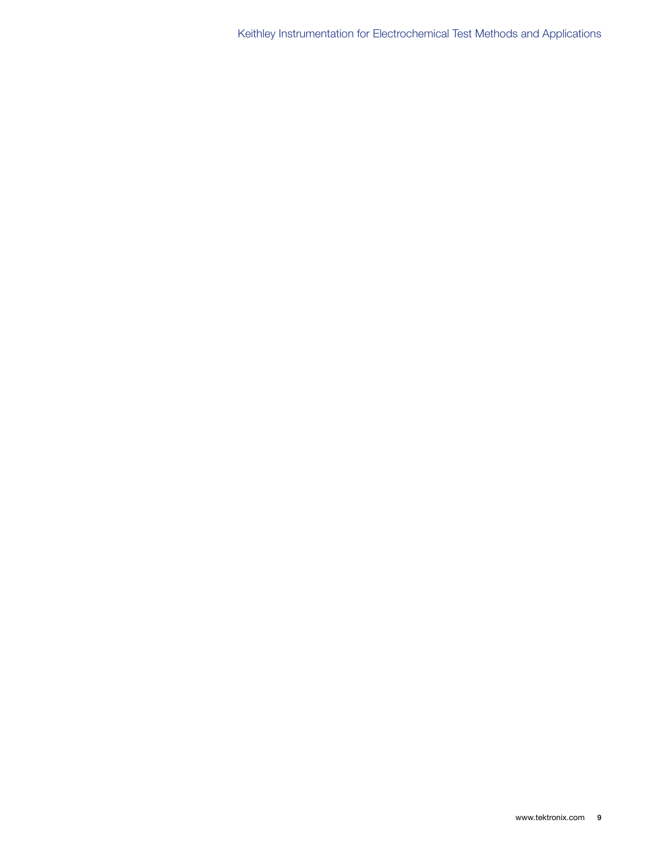Keithley Instrumentation for Electrochemical Test Methods and Applications